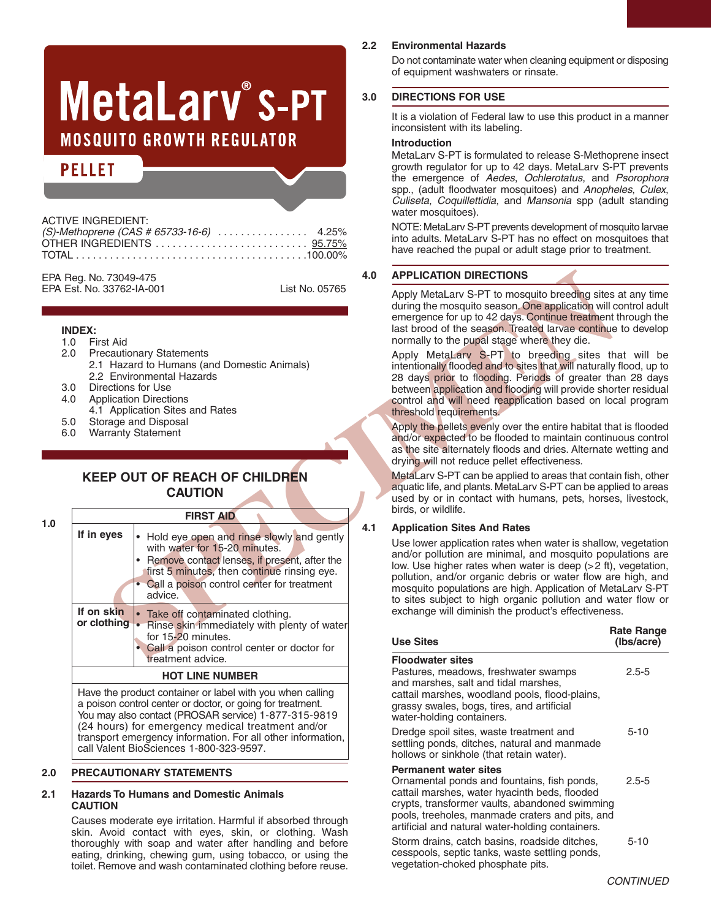# MetaLary® S-PT **MOSQUITO GROWTH REGULATOR**

# **PELLET**

| <b>ACTIVE INGREDIENT:</b> |  |
|---------------------------|--|
|                           |  |
|                           |  |
|                           |  |
|                           |  |

EPA Reg. No. 73049-475 EPA Est. No. 33762-IA-001 List No. 05765

### **INDEX:**

- 
- 1.0 First Aid **Precautionary Statements**
- 2.1 Hazard to Humans (and Domestic Animals) 2.2 Environmental Hazards
- 3.0 Directions for Use
- 4.0 Application Directions
- 4.1 Application Sites and Rates
- 
- 5.0 Storage and Disposal<br>6.0 Warranty Statement Warranty Statement

# **KEEP OUT OF REACH OF CHILDREN CAUTION**

**1.0**

| Reg. No. 73049-475                                                                                                                               |                                                                                                                                                                                                                                                                                                         | 4.0 | <b>APPLICATION DIRECTIONS</b>                                                                                                                                                                                                                                                                                                                                                                                                                                                                                                                                                                                                                                                                                                                                                                                                                                                                                                                                                                                                |
|--------------------------------------------------------------------------------------------------------------------------------------------------|---------------------------------------------------------------------------------------------------------------------------------------------------------------------------------------------------------------------------------------------------------------------------------------------------------|-----|------------------------------------------------------------------------------------------------------------------------------------------------------------------------------------------------------------------------------------------------------------------------------------------------------------------------------------------------------------------------------------------------------------------------------------------------------------------------------------------------------------------------------------------------------------------------------------------------------------------------------------------------------------------------------------------------------------------------------------------------------------------------------------------------------------------------------------------------------------------------------------------------------------------------------------------------------------------------------------------------------------------------------|
| Est. No. 33762-IA-001<br><b>INDEX:</b><br>1.0<br>First Aid<br>2.0<br>Directions for Use<br>3.0<br>4.0<br>5.0<br><b>Warranty Statement</b><br>6.0 | List No. 05765<br><b>Precautionary Statements</b><br>2.1 Hazard to Humans (and Domestic Animals)<br>2.2 Environmental Hazards<br><b>Application Directions</b><br>4.1 Application Sites and Rates<br>Storage and Disposal<br><b>KEEP OUT OF REACH OF CHILDREN</b><br><b>CAUTION</b><br><b>FIRST AID</b> | 4.1 | Apply MetaLarv S-PT to mosquito breeding sites a<br>during the mosquito season. One application will co<br>emergence for up to 42 days. Continue treatment t<br>last brood of the season. Treated larvae continue<br>normally to the pupal stage where they die.<br>Apply MetaLary S-PT to breeding sites tha<br>intentionally flooded and to sites that will naturally t<br>28 days prior to flooding. Periods of greater tha<br>between application and flooding will provide short<br>control and will need reapplication based on loca<br>threshold requirements.<br>Apply the pellets evenly over the entire habitat that<br>and/or expected to be flooded to maintain continue<br>as the site alternately floods and dries. Alternate v<br>drying will not reduce pellet effectiveness.<br>MetaLary S-PT can be applied to areas that contair<br>aquatic life, and plants. MetaLarv S-PT can be appli-<br>used by or in contact with humans, pets, horses<br>birds, or wildlife.<br><b>Application Sites And Rates</b> |
| If in eyes<br>advice.<br>If on skin                                                                                                              | • Hold eye open and rinse slowly and gently<br>with water for 15-20 minutes.<br>• Remove contact lenses, if present, after the<br>first 5 minutes, then continue rinsing eye.<br>• Call a poison control center for treatment<br>• Take off contaminated clothing.                                      |     | Use lower application rates when water is shallow,<br>and/or pollution are minimal, and mosquito popu<br>low. Use higher rates when water is deep (>2 ft),<br>pollution, and/or organic debris or water flow are<br>mosquito populations are high. Application of Meta<br>to sites subject to high organic pollution and wa<br>exchange will diminish the product's effectiveness                                                                                                                                                                                                                                                                                                                                                                                                                                                                                                                                                                                                                                            |
| or clothing                                                                                                                                      | • Rinse skin immediately with plenty of water<br>for 15-20 minutes.<br>• Call a poison control center or doctor for                                                                                                                                                                                     |     | Rε<br><b>Use Sites</b><br>O                                                                                                                                                                                                                                                                                                                                                                                                                                                                                                                                                                                                                                                                                                                                                                                                                                                                                                                                                                                                  |
|                                                                                                                                                  | treatment advice.                                                                                                                                                                                                                                                                                       |     | <b>Floodwater sites</b>                                                                                                                                                                                                                                                                                                                                                                                                                                                                                                                                                                                                                                                                                                                                                                                                                                                                                                                                                                                                      |
|                                                                                                                                                  | <b>HOT LINE NUMBER</b>                                                                                                                                                                                                                                                                                  |     | Pastures, meadows, freshwater swamps<br>and marshes, salt and tidal marshes,                                                                                                                                                                                                                                                                                                                                                                                                                                                                                                                                                                                                                                                                                                                                                                                                                                                                                                                                                 |
|                                                                                                                                                  | Have the product container or label with you when calling<br>a poison control center or doctor, or going for treatment.<br>You may also contact (PROSAR service) 1-877-315-9819                                                                                                                         |     | cattail marshes, woodland pools, flood-plains,<br>grassy swales, bogs, tires, and artificial<br>water-holding containers.                                                                                                                                                                                                                                                                                                                                                                                                                                                                                                                                                                                                                                                                                                                                                                                                                                                                                                    |

You may also contact (PROSAR service) 1-877-315-9819 (24 hours) for emergency medical treatment and/or transport emergency information. For all other information, call Valent BioSciences 1-800-323-9597.

# **2.0 PRECAUTIONARY STATEMENTS**

#### **2.1 Hazards To Humans and Domestic Animals CAUTION**

Causes moderate eye irritation. Harmful if absorbed through skin. Avoid contact with eyes, skin, or clothing. Wash thoroughly with soap and water after handling and before eating, drinking, chewing gum, using tobacco, or using the toilet. Remove and wash contaminated clothing before reuse.

#### **2.2 Environmental Hazards**

Do not contaminate water when cleaning equipment or disposing of equipment washwaters or rinsate.

# **3.0 DIRECTIONS FOR USE**

It is a violation of Federal law to use this product in a manner inconsistent with its labeling.

#### **Introduction**

MetaLarv S-PT is formulated to release S-Methoprene insect growth regulator for up to 42 days. MetaLarv S-PT prevents the emergence of *Aedes*, *Ochlerotatus*, and *Psorophora* spp., (adult floodwater mosquitoes) and *Anopheles*, *Culex*, *Culiseta*, *Coquillettidia*, and *Mansonia* spp (adult standing water mosquitoes).

NOTE: MetaLary S-PT prevents development of mosquito larvae into adults. MetaLarv S-PT has no effect on mosquitoes that have reached the pupal or adult stage prior to treatment.

# **4.0 APPLICATION DIRECTIONS**

Apply MetaLarv S-PT to mosquito breeding sites at any time during the mosquito season. One application will control adult emergence for up to 42 days. Continue treatment through the last brood of the season. Treated larvae continue to develop normally to the pupal stage where they die.

Apply MetaLarv S-PT to breeding sites that will be intentionally flooded and to sites that will naturally flood, up to 28 days prior to flooding. Periods of greater than 28 days between application and flooding will provide shorter residual control and will need reapplication based on local program threshold requirements.

Apply the pellets evenly over the entire habitat that is flooded and/or expected to be flooded to maintain continuous control as the site alternately floods and dries. Alternate wetting and drying will not reduce pellet effectiveness.

MetaLarv S-PT can be applied to areas that contain fish, other aquatic life, and plants. MetaLarv S-PT can be applied to areas used by or in contact with humans, pets, horses, livestock, birds, or wildlife.

# **4.1 Application Sites And Rates**

Use lower application rates when water is shallow, vegetation and/or pollution are minimal, and mosquito populations are low. Use higher rates when water is deep (>2 ft), vegetation, pollution, and/or organic debris or water flow are high, and mosquito populations are high. Application of MetaLarv S-PT to sites subject to high organic pollution and water flow or exchange will diminish the product's effectiveness.

| <b>Use Sites</b>                                                                                                                                                                                                                                                                      | <b>Rate Range</b><br>(Ibs/acre) |
|---------------------------------------------------------------------------------------------------------------------------------------------------------------------------------------------------------------------------------------------------------------------------------------|---------------------------------|
| <b>Floodwater sites</b><br>Pastures, meadows, freshwater swamps<br>and marshes, salt and tidal marshes,<br>cattail marshes, woodland pools, flood-plains,<br>grassy swales, bogs, tires, and artificial<br>water-holding containers.                                                  | $2.5 - 5$                       |
| Dredge spoil sites, waste treatment and<br>settling ponds, ditches, natural and manmade<br>hollows or sinkhole (that retain water).                                                                                                                                                   | $5 - 10$                        |
| <b>Permanent water sites</b><br>Ornamental ponds and fountains, fish ponds,<br>cattail marshes, water hyacinth beds, flooded<br>crypts, transformer vaults, abandoned swimming<br>pools, treeholes, manmade craters and pits, and<br>artificial and natural water-holding containers. | $2.5 - 5$                       |
| Storm drains, catch basins, roadside ditches,<br>cesspools, septic tanks, waste settling ponds,<br>vegetation-choked phosphate pits.                                                                                                                                                  | $5 - 10$                        |